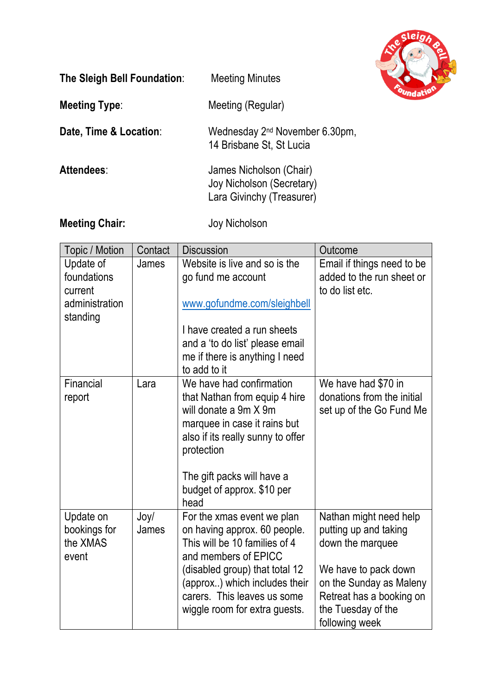

| The Sleigh Bell Foundation: | <b>Meeting Minutes</b>                                                            |
|-----------------------------|-----------------------------------------------------------------------------------|
| <b>Meeting Type:</b>        | Meeting (Regular)                                                                 |
| Date, Time & Location:      | Wednesday 2 <sup>nd</sup> November 6.30pm,<br>14 Brisbane St, St Lucia            |
| <b>Attendees:</b>           | James Nicholson (Chair)<br>Joy Nicholson (Secretary)<br>Lara Givinchy (Treasurer) |
| <b>Meeting Chair:</b>       | Joy Nicholson                                                                     |

| Topic / Motion                                                    | Contact       | <b>Discussion</b>                                                                                                                                                                                                                                      | Outcome                                                                                                                                                                                    |
|-------------------------------------------------------------------|---------------|--------------------------------------------------------------------------------------------------------------------------------------------------------------------------------------------------------------------------------------------------------|--------------------------------------------------------------------------------------------------------------------------------------------------------------------------------------------|
| Update of<br>foundations<br>current<br>administration<br>standing | James         | Website is live and so is the<br>go fund me account<br>www.gofundme.com/sleighbell<br>I have created a run sheets<br>and a 'to do list' please email<br>me if there is anything I need<br>to add to it                                                 | Email if things need to be<br>added to the run sheet or<br>to do list etc.                                                                                                                 |
| Financial<br>report                                               | Lara          | We have had confirmation<br>that Nathan from equip 4 hire<br>will donate a 9m X 9m<br>marquee in case it rains but<br>also if its really sunny to offer<br>protection<br>The gift packs will have a<br>budget of approx. \$10 per<br>head              | We have had \$70 in<br>donations from the initial<br>set up of the Go Fund Me                                                                                                              |
| Update on<br>bookings for<br>the XMAS<br>event                    | Joy/<br>James | For the xmas event we plan<br>on having approx. 60 people.<br>This will be 10 families of 4<br>and members of EPICC<br>(disabled group) that total 12<br>(approx) which includes their<br>carers. This leaves us some<br>wiggle room for extra guests. | Nathan might need help<br>putting up and taking<br>down the marquee<br>We have to pack down<br>on the Sunday as Maleny<br>Retreat has a booking on<br>the Tuesday of the<br>following week |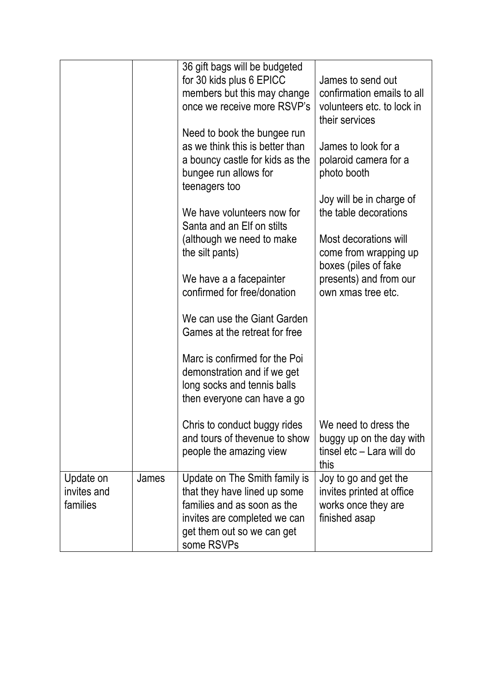|             |       | 36 gift bags will be budgeted   |                                              |
|-------------|-------|---------------------------------|----------------------------------------------|
|             |       | for 30 kids plus 6 EPICC        | James to send out                            |
|             |       | members but this may change     | confirmation emails to all                   |
|             |       | once we receive more RSVP's     | volunteers etc. to lock in                   |
|             |       |                                 | their services                               |
|             |       | Need to book the bungee run     |                                              |
|             |       | as we think this is better than | James to look for a                          |
|             |       | a bouncy castle for kids as the | polaroid camera for a                        |
|             |       | bungee run allows for           | photo booth                                  |
|             |       | teenagers too                   |                                              |
|             |       |                                 | Joy will be in charge of                     |
|             |       | We have volunteers now for      | the table decorations                        |
|             |       | Santa and an Elf on stilts      |                                              |
|             |       | (although we need to make       | Most decorations will                        |
|             |       | the silt pants)                 | come from wrapping up                        |
|             |       | We have a a facepainter         | boxes (piles of fake                         |
|             |       | confirmed for free/donation     | presents) and from our<br>own xmas tree etc. |
|             |       |                                 |                                              |
|             |       | We can use the Giant Garden     |                                              |
|             |       | Games at the retreat for free   |                                              |
|             |       |                                 |                                              |
|             |       | Marc is confirmed for the Poi   |                                              |
|             |       | demonstration and if we get     |                                              |
|             |       | long socks and tennis balls     |                                              |
|             |       | then everyone can have a go     |                                              |
|             |       |                                 |                                              |
|             |       | Chris to conduct buggy rides    | We need to dress the                         |
|             |       | and tours of thevenue to show   | buggy up on the day with                     |
|             |       | people the amazing view         | tinsel etc - Lara will do                    |
|             |       |                                 | this                                         |
| Update on   | James | Update on The Smith family is   | Joy to go and get the                        |
| invites and |       | that they have lined up some    | invites printed at office                    |
| families    |       | families and as soon as the     | works once they are                          |
|             |       | invites are completed we can    | finished asap                                |
|             |       | get them out so we can get      |                                              |
|             |       | some RSVPs                      |                                              |